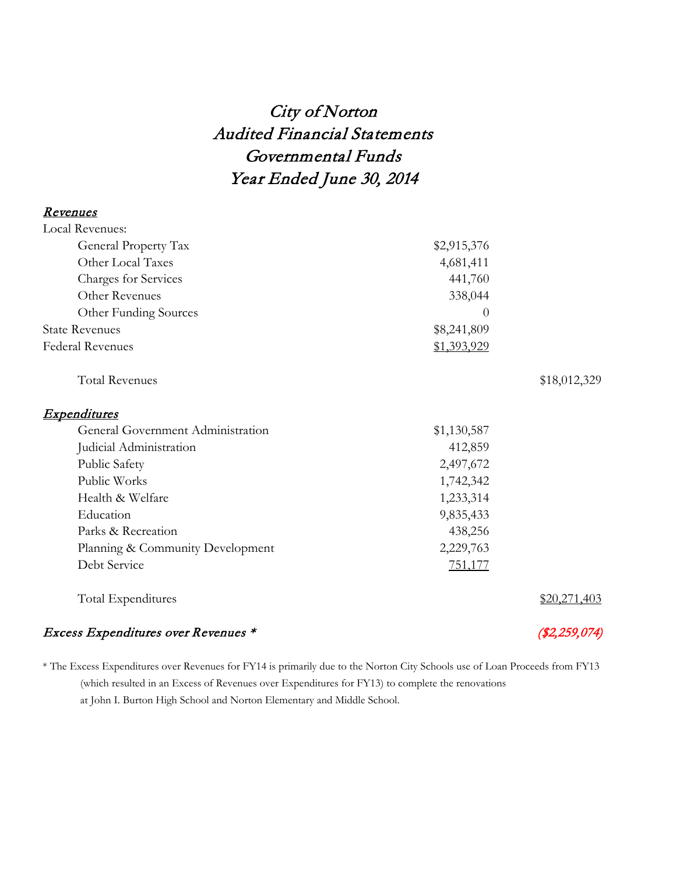## City of Norton Audited Financial Statements Governmental Funds Year Ended June 30, 2014

| <u>Revenues</u>                     |             |               |
|-------------------------------------|-------------|---------------|
| <b>Local Revenues:</b>              |             |               |
| General Property Tax                | \$2,915,376 |               |
| Other Local Taxes                   | 4,681,411   |               |
| Charges for Services                | 441,760     |               |
| Other Revenues                      | 338,044     |               |
| Other Funding Sources               | 0           |               |
| <b>State Revenues</b>               | \$8,241,809 |               |
| Federal Revenues                    | \$1,393,929 |               |
| <b>Total Revenues</b>               |             | \$18,012,329  |
| <u>Expenditures</u>                 |             |               |
| General Government Administration   | \$1,130,587 |               |
| Judicial Administration             | 412,859     |               |
| Public Safety                       | 2,497,672   |               |
| Public Works                        | 1,742,342   |               |
| Health & Welfare                    | 1,233,314   |               |
| Education                           | 9,835,433   |               |
| Parks & Recreation                  | 438,256     |               |
| Planning & Community Development    | 2,229,763   |               |
| Debt Service                        | 751,177     |               |
| Total Expenditures                  |             | \$20,271,403  |
| Excess Expenditures over Revenues * |             | (\$2,259,074) |

\* The Excess Expenditures over Revenues for FY14 is primarily due to the Norton City Schools use of Loan Proceeds from FY13 (which resulted in an Excess of Revenues over Expenditures for FY13) to complete the renovations at John I. Burton High School and Norton Elementary and Middle School.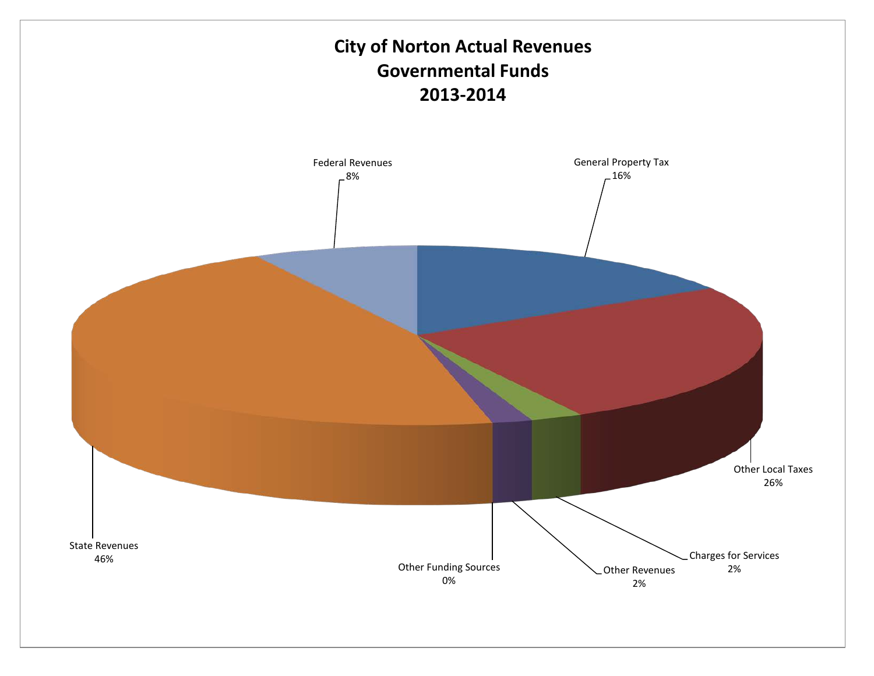